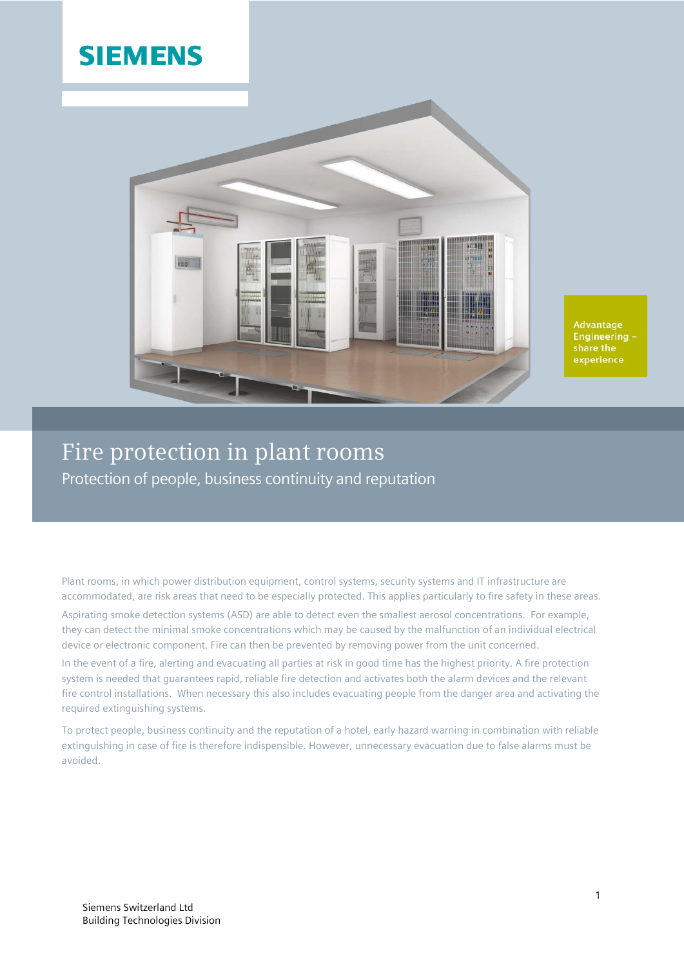



Advantage Engineering share the experience

### Fire protection in plant rooms Protection of people, business continuity and reputation

Plant rooms, in which power distribution equipment, control systems, security systems and IT infrastructure are accommodated, are risk areas that need to be especially protected. This applies particularly to fire safety in these areas.

Aspirating smoke detection systems (ASD) are able to detect even the smallest aerosol concentrations. For example, they can detect the minimal smoke concentrations which may be caused by the malfunction of an individual electrical device or electronic component. Fire can then be prevented by removing power from the unit concerned.

In the event of a fire, alerting and evacuating all parties at risk in good time has the highest priority. A fire protection system is needed that guarantees rapid, reliable fire detection and activates both the alarm devices and the relevant fire control installations. When necessary this also includes evacuating people from the danger area and activating the required extinguishing systems.

To protect people, business continuity and the reputation of a hotel, early hazard warning in combination with reliable extinguishing in case of fire is therefore indispensible. However, unnecessary evacuation due to false alarms must be avoided.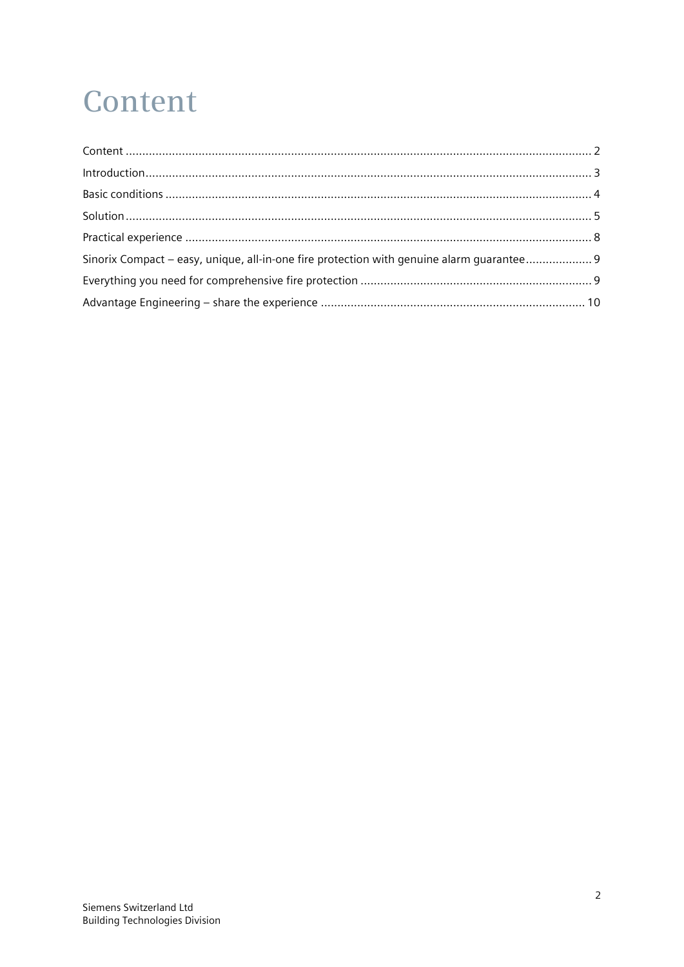# <span id="page-1-0"></span>Content

| Sinorix Compact - easy, unique, all-in-one fire protection with genuine alarm guarantee 9 |  |
|-------------------------------------------------------------------------------------------|--|
|                                                                                           |  |
|                                                                                           |  |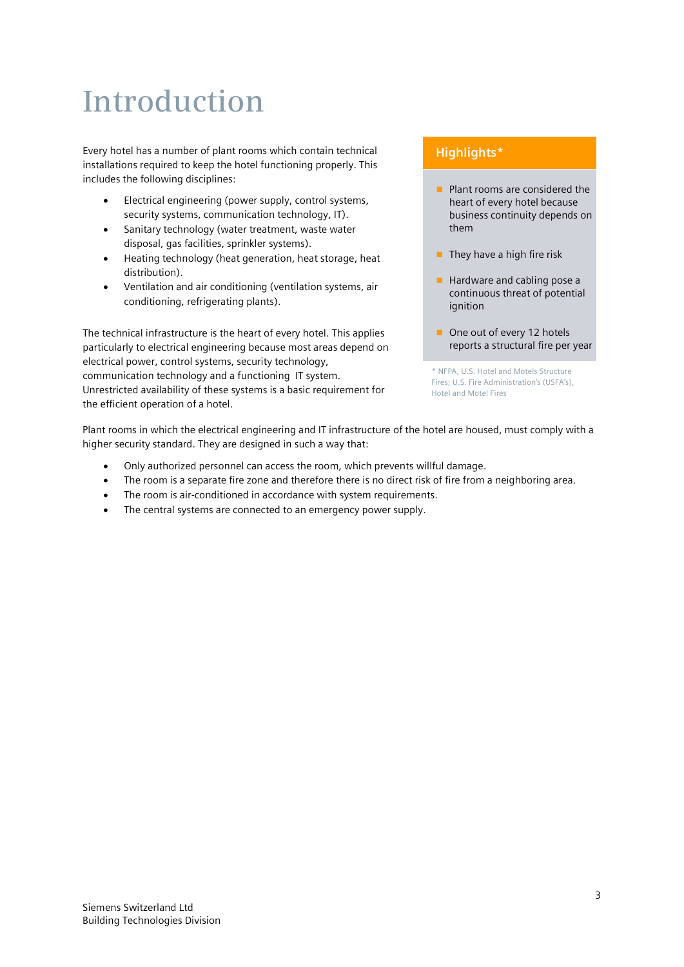# <span id="page-2-0"></span>**Introduction**

Every hotel has a number of plant rooms which contain technical installations required to keep the hotel functioning properly. This includes the following disciplines:

- Electrical engineering (power supply, control systems, security systems, communication technology, IT).
- Sanitary technology (water treatment, waste water disposal, gas facilities, sprinkler systems).
- Heating technology (heat generation, heat storage, heat distribution).
- Ventilation and air conditioning (ventilation systems, air conditioning, refrigerating plants).

The technical infrastructure is the heart of every hotel. This applies particularly to electrical engineering because most areas depend on electrical power, control systems, security technology, communication technology and a functioning IT system. Unrestricted availability of these systems is a basic requirement for the efficient operation of a hotel.

### **Highlights\***

- **Plant rooms are considered the** heart of every hotel because business continuity depends on them
- $\blacksquare$  They have a high fire risk
- **Hardware and cabling pose a** continuous threat of potential ignition
- One out of every 12 hotels reports a structural fire per year

Plant rooms in which the electrical engineering and IT infrastructure of the hotel are housed, must comply with a higher security standard. They are designed in such a way that:

- Only authorized personnel can access the room, which prevents willful damage.
- The room is a separate fire zone and therefore there is no direct risk of fire from a neighboring area.
- The room is air-conditioned in accordance with system requirements.
- The central systems are connected to an emergency power supply.

<sup>\*</sup> NFPA, U.S. Hotel and Motels Structure Fires; U.S. Fire Administration's (USFA's), Hotel and Motel Fires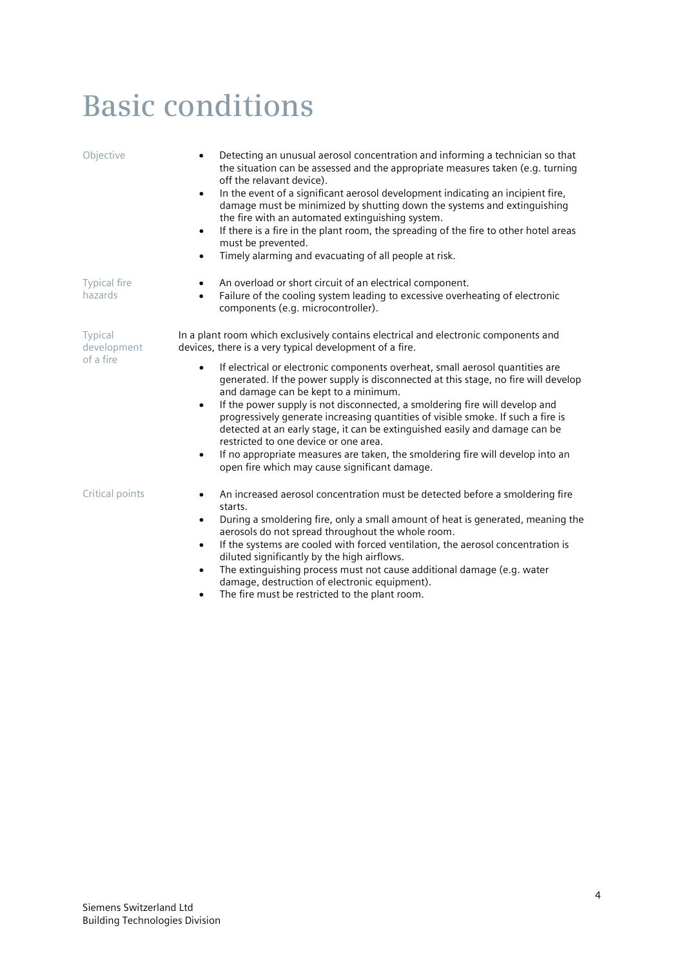### <span id="page-3-0"></span>**Basic conditions**

| Objective                                  | Detecting an unusual aerosol concentration and informing a technician so that<br>the situation can be assessed and the appropriate measures taken (e.g. turning<br>off the relavant device).<br>In the event of a significant aerosol development indicating an incipient fire,<br>$\bullet$<br>damage must be minimized by shutting down the systems and extinguishing<br>the fire with an automated extinguishing system.<br>If there is a fire in the plant room, the spreading of the fire to other hotel areas<br>$\bullet$<br>must be prevented.<br>Timely alarming and evacuating of all people at risk.<br>$\bullet$ |
|--------------------------------------------|------------------------------------------------------------------------------------------------------------------------------------------------------------------------------------------------------------------------------------------------------------------------------------------------------------------------------------------------------------------------------------------------------------------------------------------------------------------------------------------------------------------------------------------------------------------------------------------------------------------------------|
| <b>Typical fire</b><br>hazards             | An overload or short circuit of an electrical component.<br>$\bullet$<br>Failure of the cooling system leading to excessive overheating of electronic<br>$\bullet$<br>components (e.g. microcontroller).                                                                                                                                                                                                                                                                                                                                                                                                                     |
| <b>Typical</b><br>development<br>of a fire | In a plant room which exclusively contains electrical and electronic components and<br>devices, there is a very typical development of a fire.                                                                                                                                                                                                                                                                                                                                                                                                                                                                               |
|                                            | If electrical or electronic components overheat, small aerosol quantities are<br>$\bullet$<br>generated. If the power supply is disconnected at this stage, no fire will develop<br>and damage can be kept to a minimum.<br>If the power supply is not disconnected, a smoldering fire will develop and<br>$\bullet$<br>progressively generate increasing quantities of visible smoke. If such a fire is<br>detected at an early stage, it can be extinguished easily and damage can be<br>restricted to one device or one area.                                                                                             |
|                                            | If no appropriate measures are taken, the smoldering fire will develop into an<br>$\bullet$<br>open fire which may cause significant damage.                                                                                                                                                                                                                                                                                                                                                                                                                                                                                 |
| Critical points                            | An increased aerosol concentration must be detected before a smoldering fire<br>$\bullet$<br>starts.<br>During a smoldering fire, only a small amount of heat is generated, meaning the<br>$\bullet$<br>aerosols do not spread throughout the whole room.<br>If the systems are cooled with forced ventilation, the aerosol concentration is<br>$\bullet$<br>diluted significantly by the high airflows.<br>The extinguishing process must not cause additional damage (e.g. water<br>$\bullet$<br>damage, destruction of electronic equipment).<br>The fire must be restricted to the plant room.                           |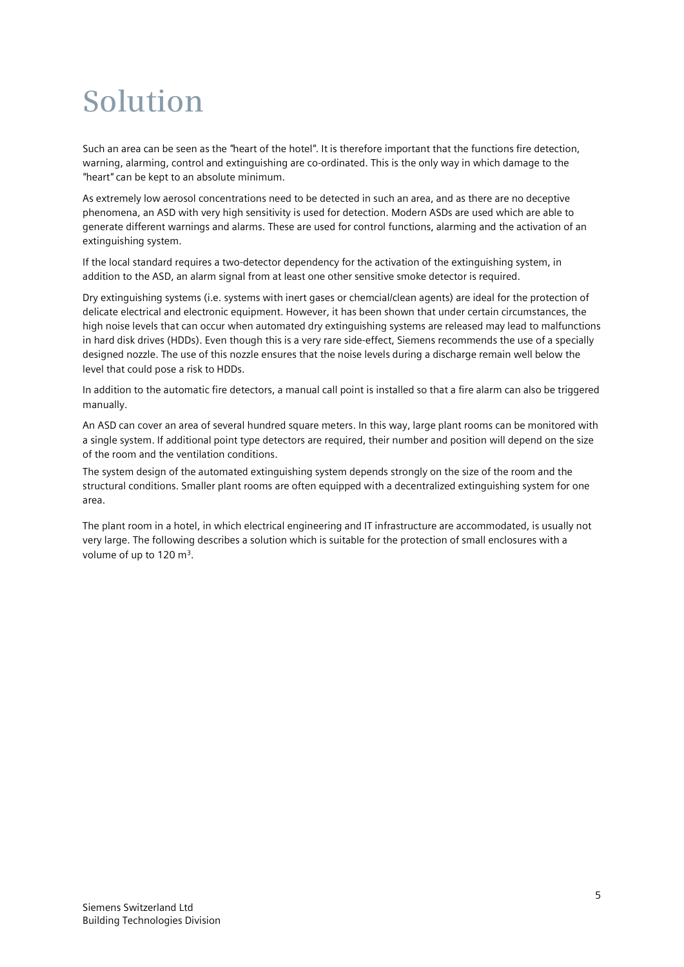# <span id="page-4-0"></span>**Solution**

Such an area can be seen as the *"*heart of the hotel*"*. It is therefore important that the functions fire detection, warning, alarming, control and extinguishing are co-ordinated. This is the only way in which damage to the *"*heart*"* can be kept to an absolute minimum.

As extremely low aerosol concentrations need to be detected in such an area, and as there are no deceptive phenomena, an ASD with very high sensitivity is used for detection. Modern ASDs are used which are able to generate different warnings and alarms. These are used for control functions, alarming and the activation of an extinguishing system.

If the local standard requires a two-detector dependency for the activation of the extinguishing system, in addition to the ASD, an alarm signal from at least one other sensitive smoke detector is required.

Dry extinguishing systems (i.e. systems with inert gases or chemcial/clean agents) are ideal for the protection of delicate electrical and electronic equipment. However, it has been shown that under certain circumstances, the high noise levels that can occur when automated dry extinguishing systems are released may lead to malfunctions in hard disk drives (HDDs). Even though this is a very rare side-effect, Siemens recommends the use of a specially designed nozzle. The use of this nozzle ensures that the noise levels during a discharge remain well below the level that could pose a risk to HDDs.

In addition to the automatic fire detectors, a manual call point is installed so that a fire alarm can also be triggered manually.

An ASD can cover an area of several hundred square meters. In this way, large plant rooms can be monitored with a single system. If additional point type detectors are required, their number and position will depend on the size of the room and the ventilation conditions.

The system design of the automated extinguishing system depends strongly on the size of the room and the structural conditions. Smaller plant rooms are often equipped with a decentralized extinguishing system for one area.

The plant room in a hotel, in which electrical engineering and IT infrastructure are accommodated, is usually not very large. The following describes a solution which is suitable for the protection of small enclosures with a volume of up to 120 m<sup>3</sup>.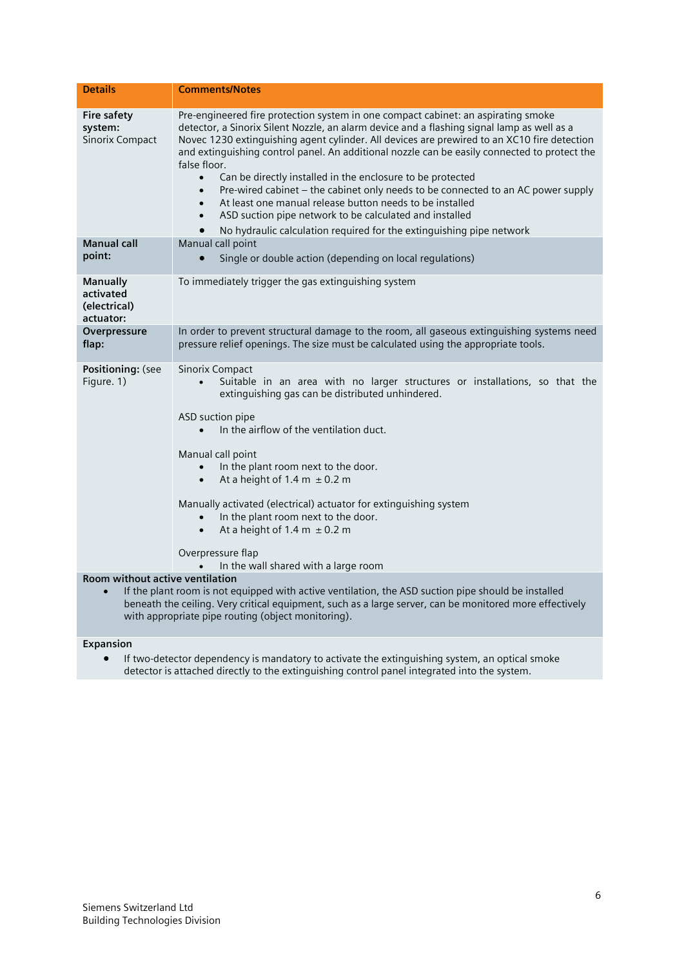| <b>Details</b>                                                                                                                                                                                                                                                                                          | <b>Comments/Notes</b>                                                                                                                                                                                                                                                                                                                                                                                                                                                                                                                                                                                                                                                                                                                                                                                            |  |
|---------------------------------------------------------------------------------------------------------------------------------------------------------------------------------------------------------------------------------------------------------------------------------------------------------|------------------------------------------------------------------------------------------------------------------------------------------------------------------------------------------------------------------------------------------------------------------------------------------------------------------------------------------------------------------------------------------------------------------------------------------------------------------------------------------------------------------------------------------------------------------------------------------------------------------------------------------------------------------------------------------------------------------------------------------------------------------------------------------------------------------|--|
| <b>Fire safety</b><br>system:<br>Sinorix Compact                                                                                                                                                                                                                                                        | Pre-engineered fire protection system in one compact cabinet: an aspirating smoke<br>detector, a Sinorix Silent Nozzle, an alarm device and a flashing signal lamp as well as a<br>Novec 1230 extinguishing agent cylinder. All devices are prewired to an XC10 fire detection<br>and extinguishing control panel. An additional nozzle can be easily connected to protect the<br>false floor.<br>Can be directly installed in the enclosure to be protected<br>$\bullet$<br>Pre-wired cabinet - the cabinet only needs to be connected to an AC power supply<br>$\bullet$<br>At least one manual release button needs to be installed<br>$\bullet$<br>ASD suction pipe network to be calculated and installed<br>$\bullet$<br>No hydraulic calculation required for the extinguishing pipe network<br>$\bullet$ |  |
| Manual call<br>point:                                                                                                                                                                                                                                                                                   | Manual call point<br>Single or double action (depending on local regulations)<br>$\bullet$                                                                                                                                                                                                                                                                                                                                                                                                                                                                                                                                                                                                                                                                                                                       |  |
| <b>Manually</b><br>activated<br>(electrical)<br>actuator:                                                                                                                                                                                                                                               | To immediately trigger the gas extinguishing system                                                                                                                                                                                                                                                                                                                                                                                                                                                                                                                                                                                                                                                                                                                                                              |  |
| Overpressure<br>flap:                                                                                                                                                                                                                                                                                   | In order to prevent structural damage to the room, all gaseous extinguishing systems need<br>pressure relief openings. The size must be calculated using the appropriate tools.                                                                                                                                                                                                                                                                                                                                                                                                                                                                                                                                                                                                                                  |  |
| Positioning: (see<br>Figure. 1)                                                                                                                                                                                                                                                                         | Sinorix Compact<br>Suitable in an area with no larger structures or installations, so that the<br>extinguishing gas can be distributed unhindered.<br>ASD suction pipe<br>In the airflow of the ventilation duct.<br>Manual call point<br>In the plant room next to the door.<br>$\bullet$<br>At a height of 1.4 m $\pm$ 0.2 m<br>$\bullet$<br>Manually activated (electrical) actuator for extinguishing system<br>In the plant room next to the door.<br>At a height of 1.4 m $\pm$ 0.2 m<br>$\bullet$<br>Overpressure flap<br>In the wall shared with a large room                                                                                                                                                                                                                                            |  |
| Room without active ventilation<br>If the plant room is not equipped with active ventilation, the ASD suction pipe should be installed<br>beneath the ceiling. Very critical equipment, such as a large server, can be monitored more effectively<br>with appropriate pipe routing (object monitoring). |                                                                                                                                                                                                                                                                                                                                                                                                                                                                                                                                                                                                                                                                                                                                                                                                                  |  |

**Expansion**

• If two-detector dependency is mandatory to activate the extinguishing system, an optical smoke detector is attached directly to the extinguishing control panel integrated into the system.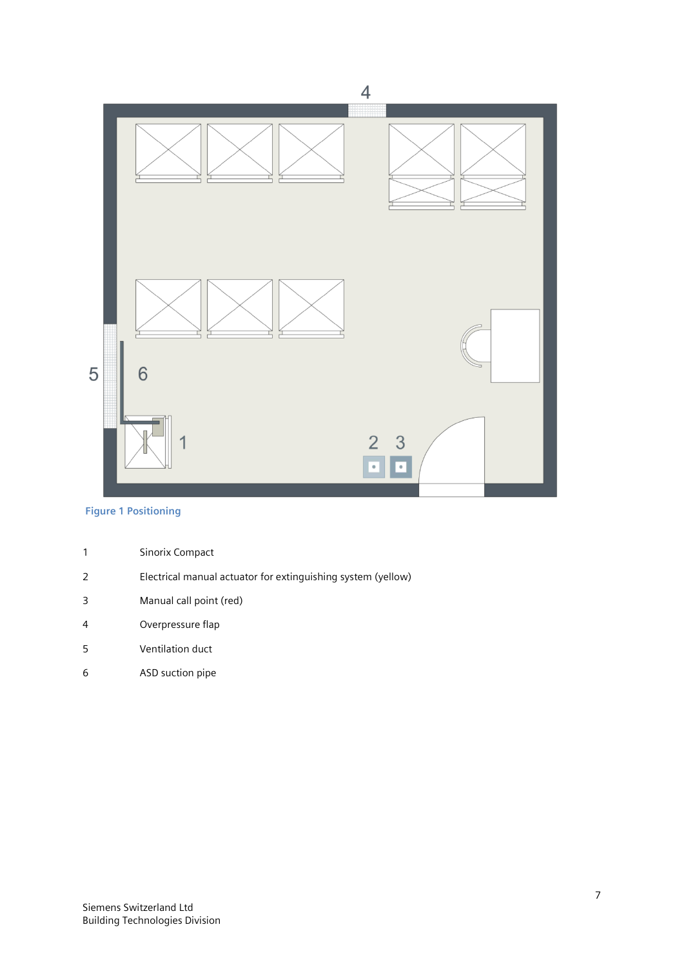

#### **Figure 1 Positioning**

- Sinorix Compact
- Electrical manual actuator for extinguishing system (yellow)
- Manual call point (red)
- Overpressure flap
- Ventilation duct
- ASD suction pipe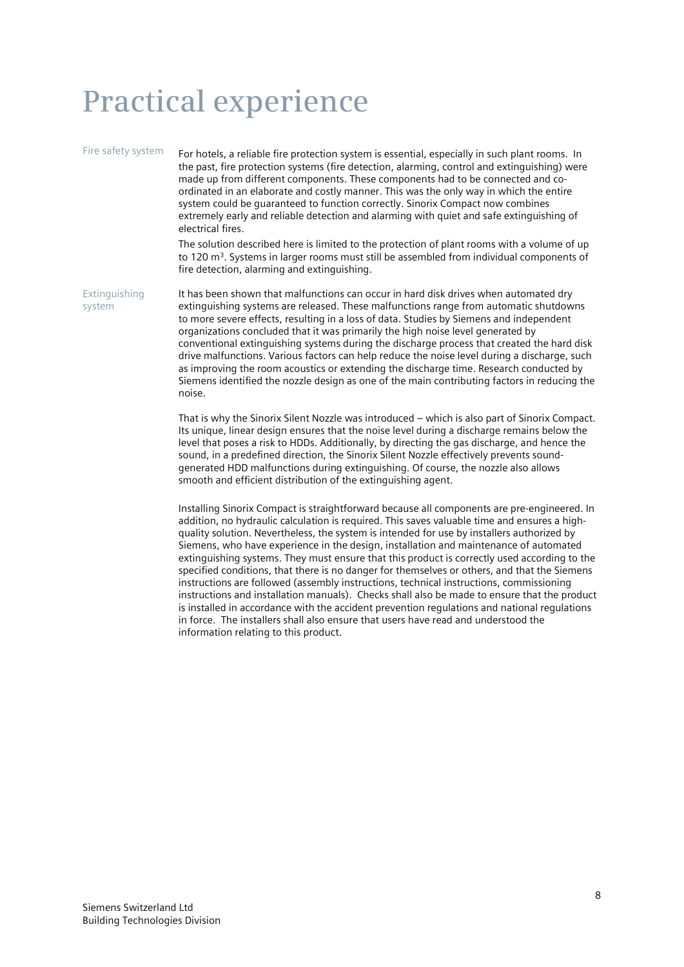### <span id="page-7-0"></span>**Practical experience**

Fire safety system For hotels, a reliable fire protection system is essential, especially in such plant rooms. In the past, fire protection systems (fire detection, alarming, control and extinguishing) were made up from different components. These components had to be connected and coordinated in an elaborate and costly manner. This was the only way in which the entire system could be guaranteed to function correctly. Sinorix Compact now combines extremely early and reliable detection and alarming with quiet and safe extinguishing of electrical fires. The solution described here is limited to the protection of plant rooms with a volume of up to 120 m<sup>3</sup>. Systems in larger rooms must still be assembled from individual components of fire detection, alarming and extinguishing. Extinguishing system It has been shown that malfunctions can occur in hard disk drives when automated dry extinguishing systems are released. These malfunctions range from automatic shutdowns to more severe effects, resulting in a loss of data. Studies by Siemens and independent organizations concluded that it was primarily the high noise level generated by conventional extinguishing systems during the discharge process that created the hard disk drive malfunctions. Various factors can help reduce the noise level during a discharge, such as improving the room acoustics or extending the discharge time. Research conducted by Siemens identified the nozzle design as one of the main contributing factors in reducing the noise. That is why the Sinorix Silent Nozzle was introduced – which is also part of Sinorix Compact. Its unique, linear design ensures that the noise level during a discharge remains below the level that poses a risk to HDDs. Additionally, by directing the gas discharge, and hence the sound, in a predefined direction, the Sinorix Silent Nozzle effectively prevents soundgenerated HDD malfunctions during extinguishing. Of course, the nozzle also allows smooth and efficient distribution of the extinguishing agent. Installing Sinorix Compact is straightforward because all components are pre-engineered. In addition, no hydraulic calculation is required. This saves valuable time and ensures a highquality solution. Nevertheless, the system is intended for use by installers authorized by

Siemens, who have experience in the design, installation and maintenance of automated extinguishing systems. They must ensure that this product is correctly used according to the specified conditions, that there is no danger for themselves or others, and that the Siemens instructions are followed (assembly instructions, technical instructions, commissioning instructions and installation manuals). Checks shall also be made to ensure that the product is installed in accordance with the accident prevention regulations and national regulations in force. The installers shall also ensure that users have read and understood the information relating to this product.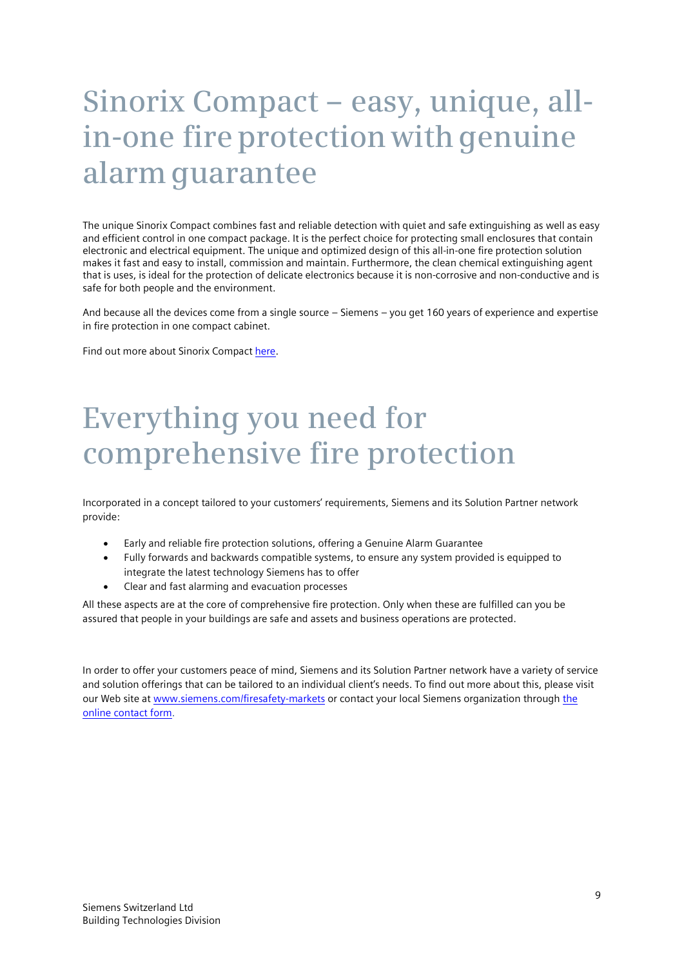### <span id="page-8-0"></span>**Sinorix Compact – easy, unique, all**in-one fire protection with genuine **alarmguarantee**

The unique Sinorix Compact combines fast and reliable detection with quiet and safe extinguishing as well as easy and efficient control in one compact package. It is the perfect choice for protecting small enclosures that contain electronic and electrical equipment. The unique and optimized design of this all-in-one fire protection solution makes it fast and easy to install, commission and maintain. Furthermore, the clean chemical extinguishing agent that is uses, is ideal for the protection of delicate electronics because it is non-corrosive and non-conductive and is safe for both people and the environment.

And because all the devices come from a single source – Siemens – you get 160 years of experience and expertise in fire protection in one compact cabinet.

Find out more about Sinorix Compact [here.](https://www.buildingtechnologies.siemens.com/bt/global/en/firesafety/extinguishing/pages/sinorix-compact.aspx?HTTPS=REDIR)

### <span id="page-8-1"></span>**Everything you need for comprehensive fire protection**

Incorporated in a concept tailored to your customers' requirements, Siemens and its Solution Partner network provide:

- Early and reliable fire protection solutions, offering a Genuine Alarm Guarantee
- Fully forwards and backwards compatible systems, to ensure any system provided is equipped to integrate the latest technology Siemens has to offer
- Clear and fast alarming and evacuation processes

All these aspects are at the core of comprehensive fire protection. Only when these are fulfilled can you be assured that people in your buildings are safe and assets and business operations are protected.

In order to offer your customers peace of mind, Siemens and its Solution Partner network have a variety of service and solution offerings that can be tailored to an individual client's needs. To find out more about this, please visit our Web site a[t www.siemens.com/firesafety-markets](http://www.siemens.com/firesafety-markets) or contact your local Siemens organization through [the](http://www.buildingtechnologies.siemens.com/bt/global/en/firesafety/Pages/fire-safety.aspx?HTTPS=REDIR&opentbb=1)  [online contact form.](http://www.buildingtechnologies.siemens.com/bt/global/en/firesafety/Pages/fire-safety.aspx?HTTPS=REDIR&opentbb=1)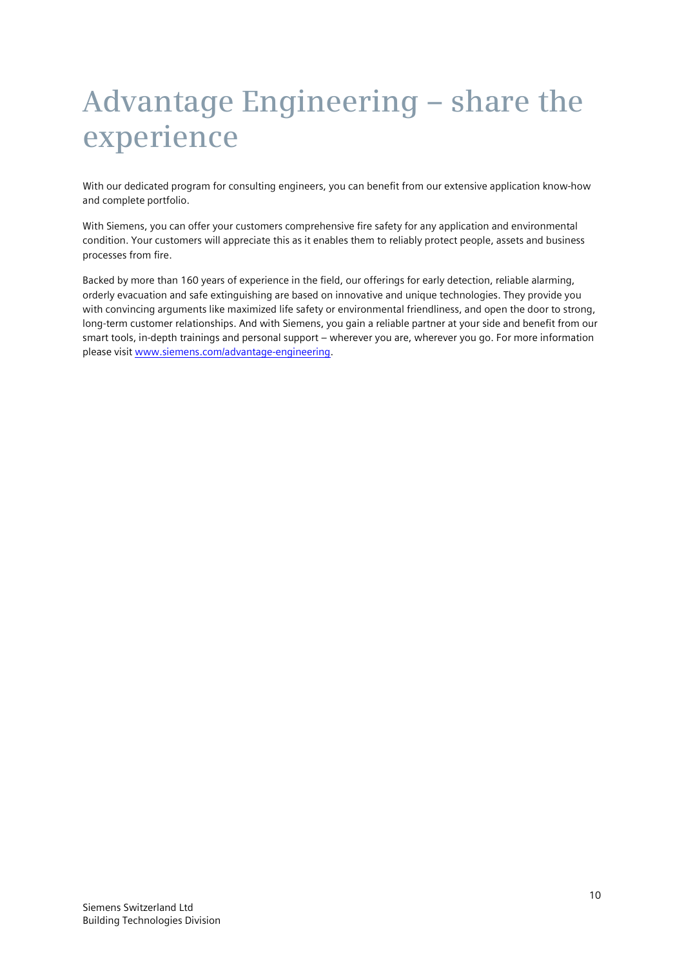### <span id="page-9-0"></span>**Advantage Engineering – share the experience**

With our dedicated program for consulting engineers, you can benefit from our extensive application know-how and complete portfolio.

With Siemens, you can offer your customers comprehensive fire safety for any application and environmental condition. Your customers will appreciate this as it enables them to reliably protect people, assets and business processes from fire.

Backed by more than 160 years of experience in the field, our offerings for early detection, reliable alarming, orderly evacuation and safe extinguishing are based on innovative and unique technologies. They provide you with convincing arguments like maximized life safety or environmental friendliness, and open the door to strong, long-term customer relationships. And with Siemens, you gain a reliable partner at your side and benefit from our smart tools, in-depth trainings and personal support – wherever you are, wherever you go. For more information please visi[t www.siemens.com/advantage-engineering.](http://www.siemens.com/advantage-engineering)